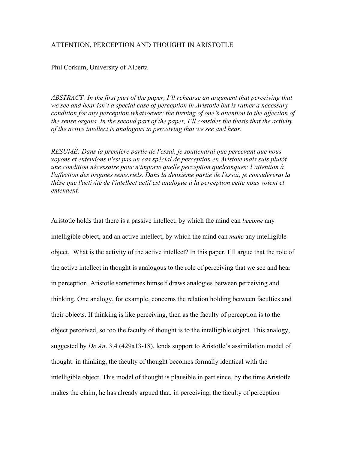## ATTENTION, PERCEPTION AND THOUGHT IN ARISTOTLE

## Phil Corkum, University of Alberta

*ABSTRACT: In the first part of the paper, I'll rehearse an argument that perceiving that we see and hear isn't a special case of perception in Aristotle but is rather a necessary condition for any perception whatsoever: the turning of one's attention to the affection of the sense organs. In the second part of the paper, I'll consider the thesis that the activity of the active intellect is analogous to perceiving that we see and hear.* 

*RESUMÉ: Dans la première partie de l'essai, je soutiendrai que percevant que nous voyons et entendons n'est pas un cas spécial de perception en Aristote mais suis plutôt une condition nécessaire pour n'importe quelle perception quelconques: l'attention à*  l'affection des organes sensoriels. Dans la deuxième partie de l'essai, je considérerai la *thèse que l'activité de l'intellect actif est analogue à la perception cette nous voient et entendent.*

Aristotle holds that there is a passive intellect, by which the mind can *become* any intelligible object, and an active intellect, by which the mind can *make* any intelligible object. What is the activity of the active intellect? In this paper, I'll argue that the role of the active intellect in thought is analogous to the role of perceiving that we see and hear in perception. Aristotle sometimes himself draws analogies between perceiving and thinking. One analogy, for example, concerns the relation holding between faculties and their objects. If thinking is like perceiving, then as the faculty of perception is to the object perceived, so too the faculty of thought is to the intelligible object. This analogy, suggested by *De An*. 3.4 (429a13-18), lends support to Aristotle's assimilation model of thought: in thinking, the faculty of thought becomes formally identical with the intelligible object. This model of thought is plausible in part since, by the time Aristotle makes the claim, he has already argued that, in perceiving, the faculty of perception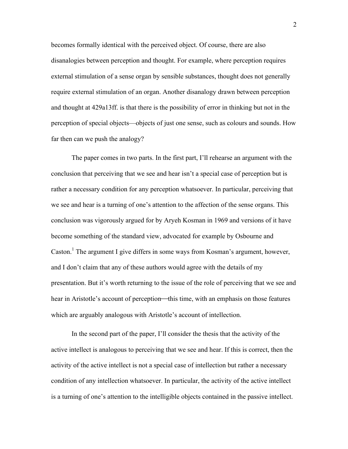becomes formally identical with the perceived object. Of course, there are also disanalogies between perception and thought. For example, where perception requires external stimulation of a sense organ by sensible substances, thought does not generally require external stimulation of an organ. Another disanalogy drawn between perception and thought at 429a13ff. is that there is the possibility of error in thinking but not in the perception of special objects—objects of just one sense, such as colours and sounds. How far then can we push the analogy?

The paper comes in two parts. In the first part, I'll rehearse an argument with the conclusion that perceiving that we see and hear isn't a special case of perception but is rather a necessary condition for any perception whatsoever. In particular, perceiving that we see and hear is a turning of one's attention to the affection of the sense organs. This conclusion was vigorously argued for by Aryeh Kosman in 1969 and versions of it have become something of the standard view, advocated for example by Osbourne and Caston.<sup>1</sup> The argument I give differs in some ways from Kosman's argument, however, and I don't claim that any of these authors would agree with the details of my presentation. But it's worth returning to the issue of the role of perceiving that we see and hear in Aristotle's account of perception—this time, with an emphasis on those features which are arguably analogous with Aristotle's account of intellection.

In the second part of the paper, I'll consider the thesis that the activity of the active intellect is analogous to perceiving that we see and hear. If this is correct, then the activity of the active intellect is not a special case of intellection but rather a necessary condition of any intellection whatsoever. In particular, the activity of the active intellect is a turning of one's attention to the intelligible objects contained in the passive intellect.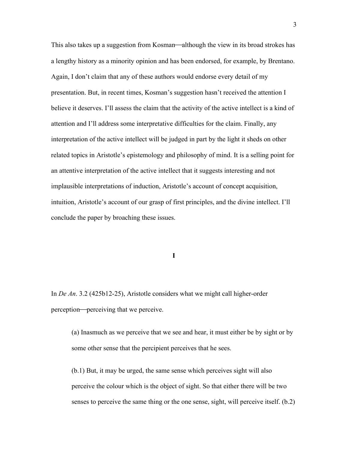This also takes up a suggestion from Kosman—although the view in its broad strokes has a lengthy history as a minority opinion and has been endorsed, for example, by Brentano. Again, I don't claim that any of these authors would endorse every detail of my presentation. But, in recent times, Kosman's suggestion hasn't received the attention I believe it deserves. I'll assess the claim that the activity of the active intellect is a kind of attention and I'll address some interpretative difficulties for the claim. Finally, any interpretation of the active intellect will be judged in part by the light it sheds on other related topics in Aristotle's epistemology and philosophy of mind. It is a selling point for an attentive interpretation of the active intellect that it suggests interesting and not implausible interpretations of induction, Aristotle's account of concept acquisition, intuition, Aristotle's account of our grasp of first principles, and the divine intellect. I'll conclude the paper by broaching these issues.

**I**

In *De An*. 3.2 (425b12-25), Aristotle considers what we might call higher-order perception—perceiving that we perceive.

(a) Inasmuch as we perceive that we see and hear, it must either be by sight or by some other sense that the percipient perceives that he sees.

(b.1) But, it may be urged, the same sense which perceives sight will also perceive the colour which is the object of sight. So that either there will be two senses to perceive the same thing or the one sense, sight, will perceive itself. (b.2)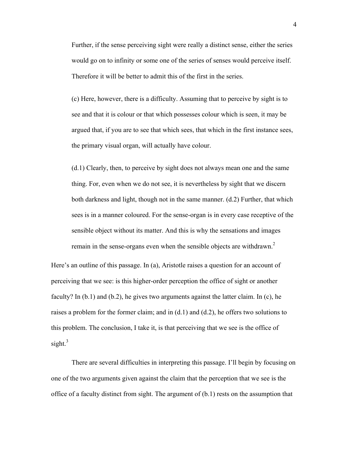Further, if the sense perceiving sight were really a distinct sense, either the series would go on to infinity or some one of the series of senses would perceive itself. Therefore it will be better to admit this of the first in the series.

(c) Here, however, there is a difficulty. Assuming that to perceive by sight is to see and that it is colour or that which possesses colour which is seen, it may be argued that, if you are to see that which sees, that which in the first instance sees, the primary visual organ, will actually have colour.

(d.1) Clearly, then, to perceive by sight does not always mean one and the same thing. For, even when we do not see, it is nevertheless by sight that we discern both darkness and light, though not in the same manner. (d.2) Further, that which sees is in a manner coloured. For the sense-organ is in every case receptive of the sensible object without its matter. And this is why the sensations and images remain in the sense-organs even when the sensible objects are withdrawn.<sup>2</sup>

Here's an outline of this passage. In (a), Aristotle raises a question for an account of perceiving that we see: is this higher-order perception the office of sight or another faculty? In  $(b.1)$  and  $(b.2)$ , he gives two arguments against the latter claim. In  $(c)$ , he raises a problem for the former claim; and in (d.1) and (d.2), he offers two solutions to this problem. The conclusion, I take it, is that perceiving that we see is the office of sight. $3$ 

There are several difficulties in interpreting this passage. I'll begin by focusing on one of the two arguments given against the claim that the perception that we see is the office of a faculty distinct from sight. The argument of (b.1) rests on the assumption that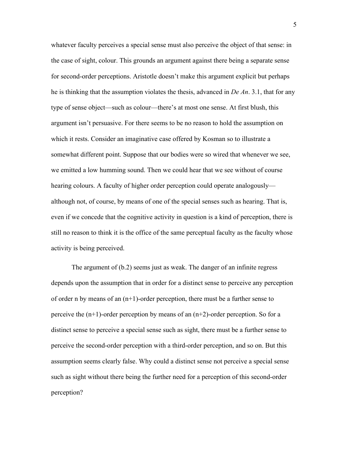whatever faculty perceives a special sense must also perceive the object of that sense: in the case of sight, colour. This grounds an argument against there being a separate sense for second-order perceptions. Aristotle doesn't make this argument explicit but perhaps he is thinking that the assumption violates the thesis, advanced in *De An*. 3.1, that for any type of sense object—such as colour—there's at most one sense. At first blush, this argument isn't persuasive. For there seems to be no reason to hold the assumption on which it rests. Consider an imaginative case offered by Kosman so to illustrate a somewhat different point. Suppose that our bodies were so wired that whenever we see, we emitted a low humming sound. Then we could hear that we see without of course hearing colours. A faculty of higher order perception could operate analogously although not, of course, by means of one of the special senses such as hearing. That is, even if we concede that the cognitive activity in question is a kind of perception, there is still no reason to think it is the office of the same perceptual faculty as the faculty whose activity is being perceived.

The argument of (b.2) seems just as weak. The danger of an infinite regress depends upon the assumption that in order for a distinct sense to perceive any perception of order n by means of an  $(n+1)$ -order perception, there must be a further sense to perceive the  $(n+1)$ -order perception by means of an  $(n+2)$ -order perception. So for a distinct sense to perceive a special sense such as sight, there must be a further sense to perceive the second-order perception with a third-order perception, and so on. But this assumption seems clearly false. Why could a distinct sense not perceive a special sense such as sight without there being the further need for a perception of this second-order perception?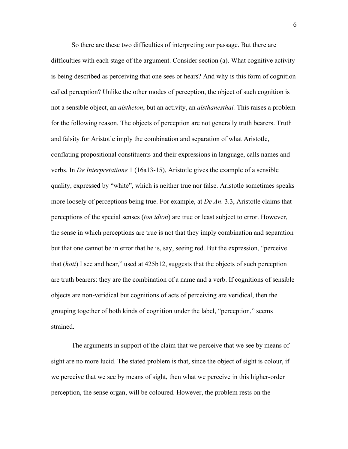So there are these two difficulties of interpreting our passage. But there are difficulties with each stage of the argument. Consider section (a). What cognitive activity is being described as perceiving that one sees or hears? And why is this form of cognition called perception? Unlike the other modes of perception, the object of such cognition is not a sensible object, an *aistheton*, but an activity, an *aisthanesthai.* This raises a problem for the following reason. The objects of perception are not generally truth bearers. Truth and falsity for Aristotle imply the combination and separation of what Aristotle, conflating propositional constituents and their expressions in language, calls names and verbs. In *De Interpretatione* 1 (16a13-15), Aristotle gives the example of a sensible quality, expressed by "white", which is neither true nor false. Aristotle sometimes speaks more loosely of perceptions being true. For example, at *De An*. 3.3, Aristotle claims that perceptions of the special senses (*ton idion*) are true or least subject to error. However, the sense in which perceptions are true is not that they imply combination and separation but that one cannot be in error that he is, say, seeing red. But the expression, "perceive that (*hoti*) I see and hear," used at 425b12, suggests that the objects of such perception are truth bearers: they are the combination of a name and a verb. If cognitions of sensible objects are non-veridical but cognitions of acts of perceiving are veridical, then the grouping together of both kinds of cognition under the label, "perception," seems strained.

The arguments in support of the claim that we perceive that we see by means of sight are no more lucid. The stated problem is that, since the object of sight is colour, if we perceive that we see by means of sight, then what we perceive in this higher-order perception, the sense organ, will be coloured. However, the problem rests on the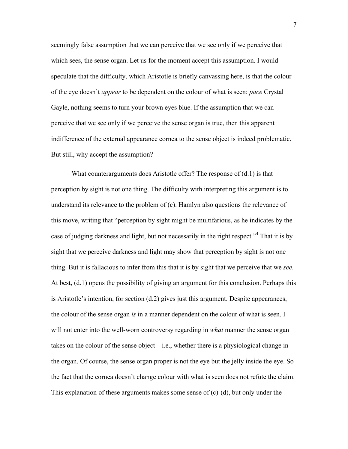seemingly false assumption that we can perceive that we see only if we perceive that which sees, the sense organ. Let us for the moment accept this assumption. I would speculate that the difficulty, which Aristotle is briefly canvassing here, is that the colour of the eye doesn't *appear* to be dependent on the colour of what is seen: *pace* Crystal Gayle, nothing seems to turn your brown eyes blue. If the assumption that we can perceive that we see only if we perceive the sense organ is true, then this apparent indifference of the external appearance cornea to the sense object is indeed problematic. But still, why accept the assumption?

What counterarguments does Aristotle offer? The response of (d.1) is that perception by sight is not one thing. The difficulty with interpreting this argument is to understand its relevance to the problem of (c). Hamlyn also questions the relevance of this move, writing that "perception by sight might be multifarious, as he indicates by the case of judging darkness and light, but not necessarily in the right respect."<sup>4</sup> That it is by sight that we perceive darkness and light may show that perception by sight is not one thing. But it is fallacious to infer from this that it is by sight that we perceive that we *see*. At best, (d.1) opens the possibility of giving an argument for this conclusion. Perhaps this is Aristotle's intention, for section (d.2) gives just this argument. Despite appearances, the colour of the sense organ *is* in a manner dependent on the colour of what is seen. I will not enter into the well-worn controversy regarding in *what* manner the sense organ takes on the colour of the sense object—i.e., whether there is a physiological change in the organ. Of course, the sense organ proper is not the eye but the jelly inside the eye. So the fact that the cornea doesn't change colour with what is seen does not refute the claim. This explanation of these arguments makes some sense of  $(c)-(d)$ , but only under the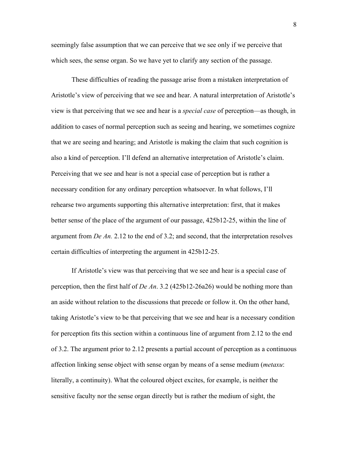seemingly false assumption that we can perceive that we see only if we perceive that which sees, the sense organ. So we have yet to clarify any section of the passage.

These difficulties of reading the passage arise from a mistaken interpretation of Aristotle's view of perceiving that we see and hear. A natural interpretation of Aristotle's view is that perceiving that we see and hear is a *special case* of perception—as though, in addition to cases of normal perception such as seeing and hearing, we sometimes cognize that we are seeing and hearing; and Aristotle is making the claim that such cognition is also a kind of perception. I'll defend an alternative interpretation of Aristotle's claim. Perceiving that we see and hear is not a special case of perception but is rather a necessary condition for any ordinary perception whatsoever. In what follows, I'll rehearse two arguments supporting this alternative interpretation: first, that it makes better sense of the place of the argument of our passage, 425b12-25, within the line of argument from *De An.* 2.12 to the end of 3.2; and second, that the interpretation resolves certain difficulties of interpreting the argument in 425b12-25.

If Aristotle's view was that perceiving that we see and hear is a special case of perception, then the first half of *De An*. 3.2 (425b12-26a26) would be nothing more than an aside without relation to the discussions that precede or follow it. On the other hand, taking Aristotle's view to be that perceiving that we see and hear is a necessary condition for perception fits this section within a continuous line of argument from 2.12 to the end of 3.2. The argument prior to 2.12 presents a partial account of perception as a continuous affection linking sense object with sense organ by means of a sense medium (*metaxu*: literally, a continuity). What the coloured object excites, for example, is neither the sensitive faculty nor the sense organ directly but is rather the medium of sight, the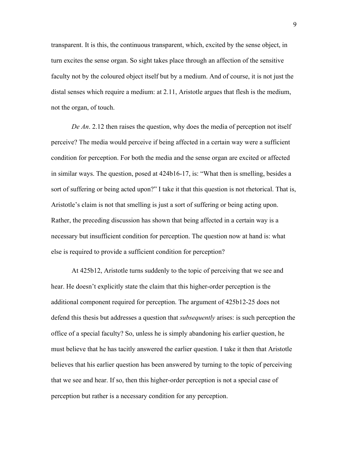transparent. It is this, the continuous transparent, which, excited by the sense object, in turn excites the sense organ. So sight takes place through an affection of the sensitive faculty not by the coloured object itself but by a medium. And of course, it is not just the distal senses which require a medium: at 2.11, Aristotle argues that flesh is the medium, not the organ, of touch.

*De An*. 2.12 then raises the question, why does the media of perception not itself perceive? The media would perceive if being affected in a certain way were a sufficient condition for perception. For both the media and the sense organ are excited or affected in similar ways. The question, posed at 424b16-17, is: "What then is smelling, besides a sort of suffering or being acted upon?" I take it that this question is not rhetorical. That is, Aristotle's claim is not that smelling is just a sort of suffering or being acting upon. Rather, the preceding discussion has shown that being affected in a certain way is a necessary but insufficient condition for perception. The question now at hand is: what else is required to provide a sufficient condition for perception?

At 425b12, Aristotle turns suddenly to the topic of perceiving that we see and hear. He doesn't explicitly state the claim that this higher-order perception is the additional component required for perception. The argument of 425b12-25 does not defend this thesis but addresses a question that *subsequently* arises: is such perception the office of a special faculty? So, unless he is simply abandoning his earlier question, he must believe that he has tacitly answered the earlier question. I take it then that Aristotle believes that his earlier question has been answered by turning to the topic of perceiving that we see and hear. If so, then this higher-order perception is not a special case of perception but rather is a necessary condition for any perception.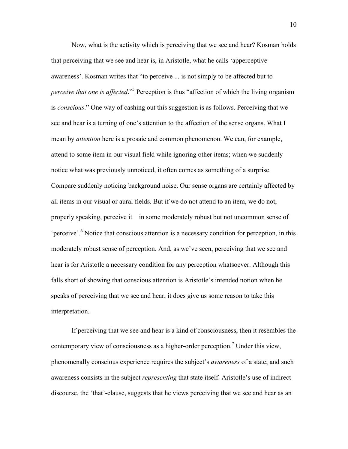Now, what is the activity which is perceiving that we see and hear? Kosman holds that perceiving that we see and hear is, in Aristotle, what he calls 'apperceptive awareness'. Kosman writes that "to perceive ... is not simply to be affected but to *perceive that one is affected*."<sup>5</sup> Perception is thus "affection of which the living organism is *conscious*." One way of cashing out this suggestion is as follows. Perceiving that we see and hear is a turning of one's attention to the affection of the sense organs. What I mean by *attention* here is a prosaic and common phenomenon. We can, for example, attend to some item in our visual field while ignoring other items; when we suddenly notice what was previously unnoticed, it often comes as something of a surprise. Compare suddenly noticing background noise. Our sense organs are certainly affected by all items in our visual or aural fields. But if we do not attend to an item, we do not, properly speaking, perceive it—in some moderately robust but not uncommon sense of 'perceive'.<sup>6</sup> Notice that conscious attention is a necessary condition for perception, in this moderately robust sense of perception. And, as we've seen, perceiving that we see and hear is for Aristotle a necessary condition for any perception whatsoever. Although this falls short of showing that conscious attention is Aristotle's intended notion when he speaks of perceiving that we see and hear, it does give us some reason to take this interpretation.

If perceiving that we see and hear is a kind of consciousness, then it resembles the contemporary view of consciousness as a higher-order perception.<sup>7</sup> Under this view, phenomenally conscious experience requires the subject's *awareness* of a state; and such awareness consists in the subject *representing* that state itself. Aristotle's use of indirect discourse, the 'that'-clause, suggests that he views perceiving that we see and hear as an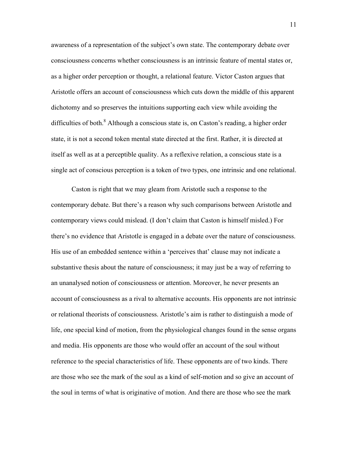awareness of a representation of the subject's own state. The contemporary debate over consciousness concerns whether consciousness is an intrinsic feature of mental states or, as a higher order perception or thought, a relational feature. Victor Caston argues that Aristotle offers an account of consciousness which cuts down the middle of this apparent dichotomy and so preserves the intuitions supporting each view while avoiding the difficulties of both.<sup>8</sup> Although a conscious state is, on Caston's reading, a higher order state, it is not a second token mental state directed at the first. Rather, it is directed at itself as well as at a perceptible quality. As a reflexive relation, a conscious state is a single act of conscious perception is a token of two types, one intrinsic and one relational.

Caston is right that we may gleam from Aristotle such a response to the contemporary debate. But there's a reason why such comparisons between Aristotle and contemporary views could mislead. (I don't claim that Caston is himself misled.) For there's no evidence that Aristotle is engaged in a debate over the nature of consciousness. His use of an embedded sentence within a 'perceives that' clause may not indicate a substantive thesis about the nature of consciousness; it may just be a way of referring to an unanalysed notion of consciousness or attention. Moreover, he never presents an account of consciousness as a rival to alternative accounts. His opponents are not intrinsic or relational theorists of consciousness. Aristotle's aim is rather to distinguish a mode of life, one special kind of motion, from the physiological changes found in the sense organs and media. His opponents are those who would offer an account of the soul without reference to the special characteristics of life. These opponents are of two kinds. There are those who see the mark of the soul as a kind of self-motion and so give an account of the soul in terms of what is originative of motion. And there are those who see the mark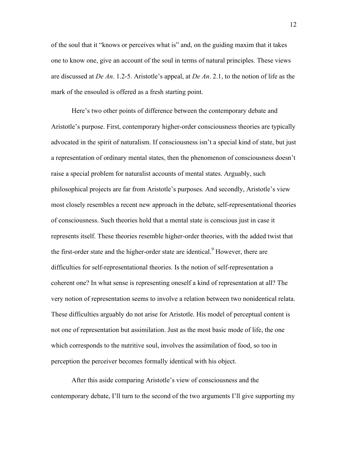of the soul that it "knows or perceives what is" and, on the guiding maxim that it takes one to know one, give an account of the soul in terms of natural principles. These views are discussed at *De An*. 1.2-5. Aristotle's appeal, at *De An*. 2.1, to the notion of life as the mark of the ensouled is offered as a fresh starting point.

Here's two other points of difference between the contemporary debate and Aristotle's purpose. First, contemporary higher-order consciousness theories are typically advocated in the spirit of naturalism. If consciousness isn't a special kind of state, but just a representation of ordinary mental states, then the phenomenon of consciousness doesn't raise a special problem for naturalist accounts of mental states. Arguably, such philosophical projects are far from Aristotle's purposes. And secondly, Aristotle's view most closely resembles a recent new approach in the debate, self-representational theories of consciousness. Such theories hold that a mental state is conscious just in case it represents itself. These theories resemble higher-order theories, with the added twist that the first-order state and the higher-order state are identical.<sup>9</sup> However, there are difficulties for self-representational theories. Is the notion of self-representation a coherent one? In what sense is representing oneself a kind of representation at all? The very notion of representation seems to involve a relation between two nonidentical relata. These difficulties arguably do not arise for Aristotle. His model of perceptual content is not one of representation but assimilation. Just as the most basic mode of life, the one which corresponds to the nutritive soul, involves the assimilation of food, so too in perception the perceiver becomes formally identical with his object.

After this aside comparing Aristotle's view of consciousness and the contemporary debate, I'll turn to the second of the two arguments I'll give supporting my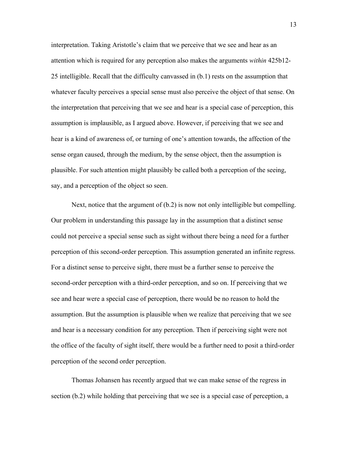interpretation. Taking Aristotle's claim that we perceive that we see and hear as an attention which is required for any perception also makes the arguments *within* 425b12- 25 intelligible. Recall that the difficulty canvassed in (b.1) rests on the assumption that whatever faculty perceives a special sense must also perceive the object of that sense. On the interpretation that perceiving that we see and hear is a special case of perception, this assumption is implausible, as I argued above. However, if perceiving that we see and hear is a kind of awareness of, or turning of one's attention towards, the affection of the sense organ caused, through the medium, by the sense object, then the assumption is plausible. For such attention might plausibly be called both a perception of the seeing, say, and a perception of the object so seen.

Next, notice that the argument of (b.2) is now not only intelligible but compelling. Our problem in understanding this passage lay in the assumption that a distinct sense could not perceive a special sense such as sight without there being a need for a further perception of this second-order perception. This assumption generated an infinite regress. For a distinct sense to perceive sight, there must be a further sense to perceive the second-order perception with a third-order perception, and so on. If perceiving that we see and hear were a special case of perception, there would be no reason to hold the assumption. But the assumption is plausible when we realize that perceiving that we see and hear is a necessary condition for any perception. Then if perceiving sight were not the office of the faculty of sight itself, there would be a further need to posit a third-order perception of the second order perception.

Thomas Johansen has recently argued that we can make sense of the regress in section (b.2) while holding that perceiving that we see is a special case of perception, a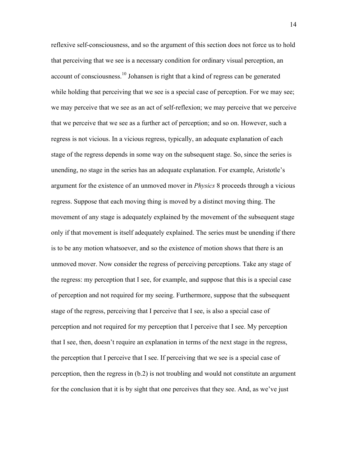reflexive self-consciousness, and so the argument of this section does not force us to hold that perceiving that we see is a necessary condition for ordinary visual perception, an account of consciousness.<sup>10</sup> Johansen is right that a kind of regress can be generated while holding that perceiving that we see is a special case of perception. For we may see; we may perceive that we see as an act of self-reflexion; we may perceive that we perceive that we perceive that we see as a further act of perception; and so on. However, such a regress is not vicious. In a vicious regress, typically, an adequate explanation of each stage of the regress depends in some way on the subsequent stage. So, since the series is unending, no stage in the series has an adequate explanation. For example, Aristotle's argument for the existence of an unmoved mover in *Physics* 8 proceeds through a vicious regress. Suppose that each moving thing is moved by a distinct moving thing. The movement of any stage is adequately explained by the movement of the subsequent stage only if that movement is itself adequately explained. The series must be unending if there is to be any motion whatsoever, and so the existence of motion shows that there is an unmoved mover. Now consider the regress of perceiving perceptions. Take any stage of the regress: my perception that I see, for example, and suppose that this is a special case of perception and not required for my seeing. Furthermore, suppose that the subsequent stage of the regress, perceiving that I perceive that I see, is also a special case of perception and not required for my perception that I perceive that I see. My perception that I see, then, doesn't require an explanation in terms of the next stage in the regress, the perception that I perceive that I see. If perceiving that we see is a special case of perception, then the regress in (b.2) is not troubling and would not constitute an argument for the conclusion that it is by sight that one perceives that they see. And, as we've just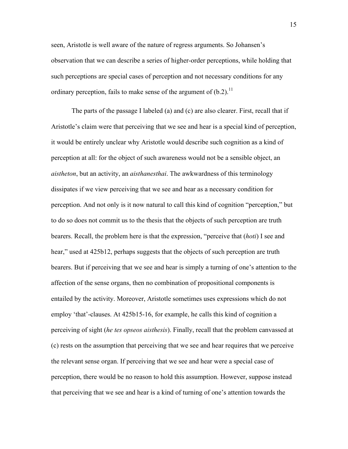seen, Aristotle is well aware of the nature of regress arguments. So Johansen's observation that we can describe a series of higher-order perceptions, while holding that such perceptions are special cases of perception and not necessary conditions for any ordinary perception, fails to make sense of the argument of  $(b.2)$ .<sup>11</sup>

The parts of the passage I labeled (a) and (c) are also clearer. First, recall that if Aristotle's claim were that perceiving that we see and hear is a special kind of perception, it would be entirely unclear why Aristotle would describe such cognition as a kind of perception at all: for the object of such awareness would not be a sensible object, an *aistheton*, but an activity, an *aisthanesthai*. The awkwardness of this terminology dissipates if we view perceiving that we see and hear as a necessary condition for perception. And not only is it now natural to call this kind of cognition "perception," but to do so does not commit us to the thesis that the objects of such perception are truth bearers. Recall, the problem here is that the expression, "perceive that (*hoti*) I see and hear," used at 425b12, perhaps suggests that the objects of such perception are truth bearers. But if perceiving that we see and hear is simply a turning of one's attention to the affection of the sense organs, then no combination of propositional components is entailed by the activity. Moreover, Aristotle sometimes uses expressions which do not employ 'that'-clauses. At 425b15-16, for example, he calls this kind of cognition a perceiving of sight (*he tes opseos aisthesis*). Finally, recall that the problem canvassed at (c) rests on the assumption that perceiving that we see and hear requires that we perceive the relevant sense organ. If perceiving that we see and hear were a special case of perception, there would be no reason to hold this assumption. However, suppose instead that perceiving that we see and hear is a kind of turning of one's attention towards the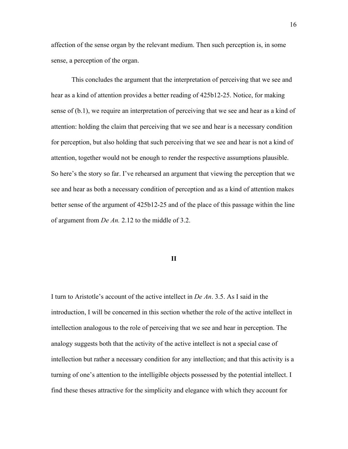affection of the sense organ by the relevant medium. Then such perception is, in some sense, a perception of the organ.

This concludes the argument that the interpretation of perceiving that we see and hear as a kind of attention provides a better reading of 425b12-25. Notice, for making sense of (b.1), we require an interpretation of perceiving that we see and hear as a kind of attention: holding the claim that perceiving that we see and hear is a necessary condition for perception, but also holding that such perceiving that we see and hear is not a kind of attention, together would not be enough to render the respective assumptions plausible. So here's the story so far. I've rehearsed an argument that viewing the perception that we see and hear as both a necessary condition of perception and as a kind of attention makes better sense of the argument of 425b12-25 and of the place of this passage within the line of argument from *De An.* 2.12 to the middle of 3.2.

## **II**

I turn to Aristotle's account of the active intellect in *De An*. 3.5. As I said in the introduction, I will be concerned in this section whether the role of the active intellect in intellection analogous to the role of perceiving that we see and hear in perception. The analogy suggests both that the activity of the active intellect is not a special case of intellection but rather a necessary condition for any intellection; and that this activity is a turning of one's attention to the intelligible objects possessed by the potential intellect. I find these theses attractive for the simplicity and elegance with which they account for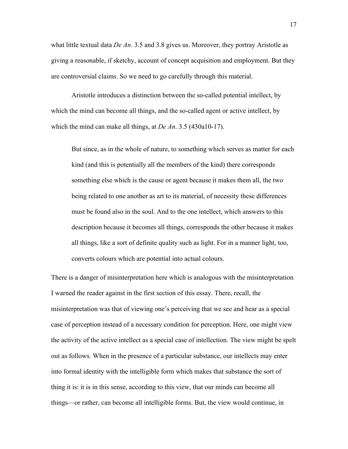what little textual data *De An*. 3.5 and 3.8 gives us. Moreover, they portray Aristotle as giving a reasonable, if sketchy, account of concept acquisition and employment. But they are controversial claims. So we need to go carefully through this material.

Aristotle introduces a distinction between the so-called potential intellect, by which the mind can become all things, and the so-called agent or active intellect, by which the mind can make all things, at *De An*. 3.5 (430a10-17).

But since, as in the whole of nature, to something which serves as matter for each kind (and this is potentially all the members of the kind) there corresponds something else which is the cause or agent because it makes them all, the two being related to one another as art to its material, of necessity these differences must be found also in the soul. And to the one intellect, which answers to this description because it becomes all things, corresponds the other because it makes all things, like a sort of definite quality such as light. For in a manner light, too, converts colours which are potential into actual colours.

There is a danger of misinterpretation here which is analogous with the misinterpretation I warned the reader against in the first section of this essay. There, recall, the misinterpretation was that of viewing one's perceiving that we see and hear as a special case of perception instead of a necessary condition for perception. Here, one might view the activity of the active intellect as a special case of intellection. The view might be spelt out as follows. When in the presence of a particular substance, our intellects may enter into formal identity with the intelligible form which makes that substance the sort of thing it is: it is in this sense, according to this view, that our minds can become all things—or rather, can become all intelligible forms. But, the view would continue, in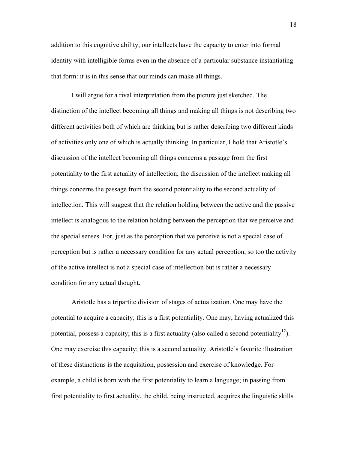addition to this cognitive ability, our intellects have the capacity to enter into formal identity with intelligible forms even in the absence of a particular substance instantiating that form: it is in this sense that our minds can make all things.

I will argue for a rival interpretation from the picture just sketched. The distinction of the intellect becoming all things and making all things is not describing two different activities both of which are thinking but is rather describing two different kinds of activities only one of which is actually thinking. In particular, I hold that Aristotle's discussion of the intellect becoming all things concerns a passage from the first potentiality to the first actuality of intellection; the discussion of the intellect making all things concerns the passage from the second potentiality to the second actuality of intellection. This will suggest that the relation holding between the active and the passive intellect is analogous to the relation holding between the perception that we perceive and the special senses. For, just as the perception that we perceive is not a special case of perception but is rather a necessary condition for any actual perception, so too the activity of the active intellect is not a special case of intellection but is rather a necessary condition for any actual thought.

Aristotle has a tripartite division of stages of actualization. One may have the potential to acquire a capacity; this is a first potentiality. One may, having actualized this potential, possess a capacity; this is a first actuality (also called a second potentiality<sup>12</sup>). One may exercise this capacity; this is a second actuality. Aristotle's favorite illustration of these distinctions is the acquisition, possession and exercise of knowledge. For example, a child is born with the first potentiality to learn a language; in passing from first potentiality to first actuality, the child, being instructed, acquires the linguistic skills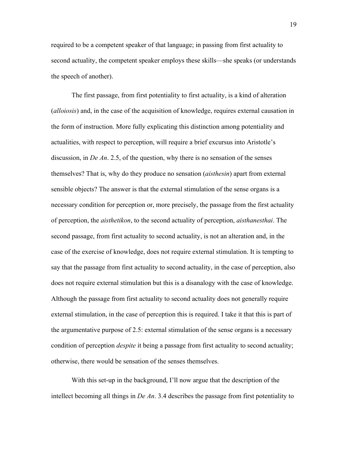required to be a competent speaker of that language; in passing from first actuality to second actuality, the competent speaker employs these skills—she speaks (or understands the speech of another).

The first passage, from first potentiality to first actuality, is a kind of alteration (*alloiosis*) and, in the case of the acquisition of knowledge, requires external causation in the form of instruction. More fully explicating this distinction among potentiality and actualities, with respect to perception, will require a brief excursus into Aristotle's discussion, in *De An*. 2.5, of the question, why there is no sensation of the senses themselves? That is, why do they produce no sensation (*aisthesin*) apart from external sensible objects? The answer is that the external stimulation of the sense organs is a necessary condition for perception or, more precisely, the passage from the first actuality of perception, the *aisthetikon*, to the second actuality of perception, *aisthanesthai*. The second passage, from first actuality to second actuality, is not an alteration and, in the case of the exercise of knowledge, does not require external stimulation. It is tempting to say that the passage from first actuality to second actuality, in the case of perception, also does not require external stimulation but this is a disanalogy with the case of knowledge. Although the passage from first actuality to second actuality does not generally require external stimulation, in the case of perception this is required. I take it that this is part of the argumentative purpose of 2.5: external stimulation of the sense organs is a necessary condition of perception *despite* it being a passage from first actuality to second actuality; otherwise, there would be sensation of the senses themselves.

With this set-up in the background, I'll now argue that the description of the intellect becoming all things in *De An*. 3.4 describes the passage from first potentiality to

19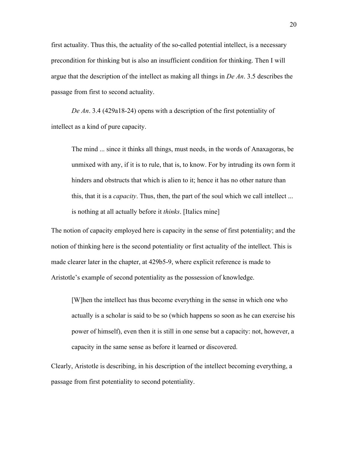first actuality. Thus this, the actuality of the so-called potential intellect, is a necessary precondition for thinking but is also an insufficient condition for thinking. Then I will argue that the description of the intellect as making all things in *De An*. 3.5 describes the passage from first to second actuality.

*De An*. 3.4 (429a18-24) opens with a description of the first potentiality of intellect as a kind of pure capacity.

The mind ... since it thinks all things, must needs, in the words of Anaxagoras, be unmixed with any, if it is to rule, that is, to know. For by intruding its own form it hinders and obstructs that which is alien to it; hence it has no other nature than this, that it is a *capacity*. Thus, then, the part of the soul which we call intellect ... is nothing at all actually before it *thinks*. [Italics mine]

The notion of capacity employed here is capacity in the sense of first potentiality; and the notion of thinking here is the second potentiality or first actuality of the intellect. This is made clearer later in the chapter, at 429b5-9, where explicit reference is made to Aristotle's example of second potentiality as the possession of knowledge.

[W]hen the intellect has thus become everything in the sense in which one who actually is a scholar is said to be so (which happens so soon as he can exercise his power of himself), even then it is still in one sense but a capacity: not, however, a capacity in the same sense as before it learned or discovered.

Clearly, Aristotle is describing, in his description of the intellect becoming everything, a passage from first potentiality to second potentiality.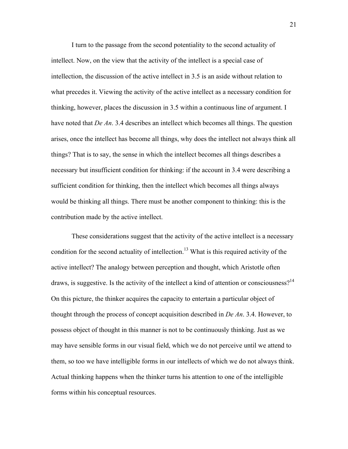I turn to the passage from the second potentiality to the second actuality of intellect. Now, on the view that the activity of the intellect is a special case of intellection, the discussion of the active intellect in 3.5 is an aside without relation to what precedes it. Viewing the activity of the active intellect as a necessary condition for thinking, however, places the discussion in 3.5 within a continuous line of argument. I have noted that *De An*. 3.4 describes an intellect which becomes all things. The question arises, once the intellect has become all things, why does the intellect not always think all things? That is to say, the sense in which the intellect becomes all things describes a necessary but insufficient condition for thinking: if the account in 3.4 were describing a sufficient condition for thinking, then the intellect which becomes all things always would be thinking all things. There must be another component to thinking: this is the contribution made by the active intellect.

These considerations suggest that the activity of the active intellect is a necessary condition for the second actuality of intellection.<sup>13</sup> What is this required activity of the active intellect? The analogy between perception and thought, which Aristotle often draws, is suggestive. Is the activity of the intellect a kind of attention or consciousness?<sup>14</sup> On this picture, the thinker acquires the capacity to entertain a particular object of thought through the process of concept acquisition described in *De An*. 3.4. However, to possess object of thought in this manner is not to be continuously thinking. Just as we may have sensible forms in our visual field, which we do not perceive until we attend to them, so too we have intelligible forms in our intellects of which we do not always think. Actual thinking happens when the thinker turns his attention to one of the intelligible forms within his conceptual resources.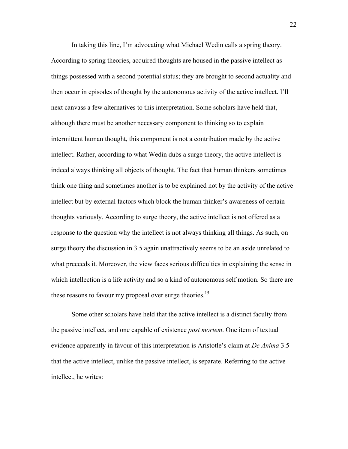In taking this line, I'm advocating what Michael Wedin calls a spring theory. According to spring theories, acquired thoughts are housed in the passive intellect as things possessed with a second potential status; they are brought to second actuality and then occur in episodes of thought by the autonomous activity of the active intellect. I'll next canvass a few alternatives to this interpretation. Some scholars have held that, although there must be another necessary component to thinking so to explain intermittent human thought, this component is not a contribution made by the active intellect. Rather, according to what Wedin dubs a surge theory, the active intellect is indeed always thinking all objects of thought. The fact that human thinkers sometimes think one thing and sometimes another is to be explained not by the activity of the active intellect but by external factors which block the human thinker's awareness of certain thoughts variously. According to surge theory, the active intellect is not offered as a response to the question why the intellect is not always thinking all things. As such, on surge theory the discussion in 3.5 again unattractively seems to be an aside unrelated to what preceeds it. Moreover, the view faces serious difficulties in explaining the sense in which intellection is a life activity and so a kind of autonomous self motion. So there are these reasons to favour my proposal over surge theories.<sup>15</sup>

Some other scholars have held that the active intellect is a distinct faculty from the passive intellect, and one capable of existence *post mortem*. One item of textual evidence apparently in favour of this interpretation is Aristotle's claim at *De Anima* 3.5 that the active intellect, unlike the passive intellect, is separate. Referring to the active intellect, he writes: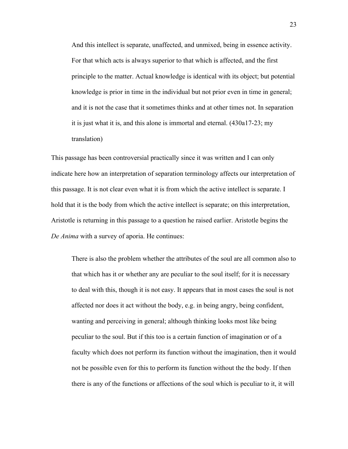And this intellect is separate, unaffected, and unmixed, being in essence activity. For that which acts is always superior to that which is affected, and the first principle to the matter. Actual knowledge is identical with its object; but potential knowledge is prior in time in the individual but not prior even in time in general; and it is not the case that it sometimes thinks and at other times not. In separation it is just what it is, and this alone is immortal and eternal. (430a17-23; my translation)

This passage has been controversial practically since it was written and I can only indicate here how an interpretation of separation terminology affects our interpretation of this passage. It is not clear even what it is from which the active intellect is separate. I hold that it is the body from which the active intellect is separate; on this interpretation, Aristotle is returning in this passage to a question he raised earlier. Aristotle begins the *De Anima* with a survey of aporia. He continues:

There is also the problem whether the attributes of the soul are all common also to that which has it or whether any are peculiar to the soul itself; for it is necessary to deal with this, though it is not easy. It appears that in most cases the soul is not affected nor does it act without the body, e.g. in being angry, being confident, wanting and perceiving in general; although thinking looks most like being peculiar to the soul. But if this too is a certain function of imagination or of a faculty which does not perform its function without the imagination, then it would not be possible even for this to perform its function without the the body. If then there is any of the functions or affections of the soul which is peculiar to it, it will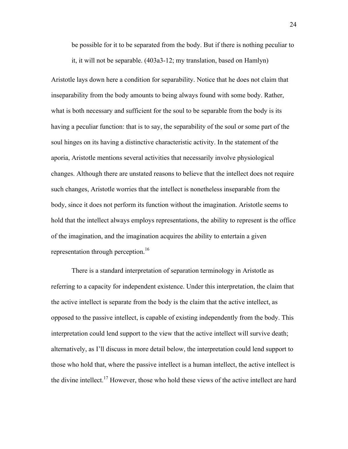be possible for it to be separated from the body. But if there is nothing peculiar to

it, it will not be separable. (403a3-12; my translation, based on Hamlyn)

Aristotle lays down here a condition for separability. Notice that he does not claim that inseparability from the body amounts to being always found with some body. Rather, what is both necessary and sufficient for the soul to be separable from the body is its having a peculiar function: that is to say, the separability of the soul or some part of the soul hinges on its having a distinctive characteristic activity. In the statement of the aporia, Aristotle mentions several activities that necessarily involve physiological changes. Although there are unstated reasons to believe that the intellect does not require such changes, Aristotle worries that the intellect is nonetheless inseparable from the body, since it does not perform its function without the imagination. Aristotle seems to hold that the intellect always employs representations, the ability to represent is the office of the imagination, and the imagination acquires the ability to entertain a given representation through perception.<sup>16</sup>

There is a standard interpretation of separation terminology in Aristotle as referring to a capacity for independent existence. Under this interpretation, the claim that the active intellect is separate from the body is the claim that the active intellect, as opposed to the passive intellect, is capable of existing independently from the body. This interpretation could lend support to the view that the active intellect will survive death; alternatively, as I'll discuss in more detail below, the interpretation could lend support to those who hold that, where the passive intellect is a human intellect, the active intellect is the divine intellect.<sup>17</sup> However, those who hold these views of the active intellect are hard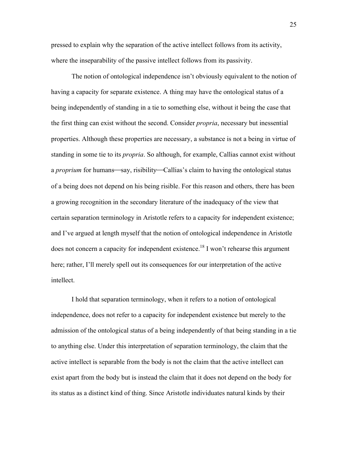pressed to explain why the separation of the active intellect follows from its activity, where the inseparability of the passive intellect follows from its passivity.

The notion of ontological independence isn't obviously equivalent to the notion of having a capacity for separate existence. A thing may have the ontological status of a being independently of standing in a tie to something else, without it being the case that the first thing can exist without the second. Consider *propria*, necessary but inessential properties. Although these properties are necessary, a substance is not a being in virtue of standing in some tie to its *propria*. So although, for example, Callias cannot exist without a *proprium* for humans—say, risibility—Callias's claim to having the ontological status of a being does not depend on his being risible. For this reason and others, there has been a growing recognition in the secondary literature of the inadequacy of the view that certain separation terminology in Aristotle refers to a capacity for independent existence; and I've argued at length myself that the notion of ontological independence in Aristotle does not concern a capacity for independent existence.<sup>18</sup> I won't rehearse this argument here; rather, I'll merely spell out its consequences for our interpretation of the active intellect.

I hold that separation terminology, when it refers to a notion of ontological independence, does not refer to a capacity for independent existence but merely to the admission of the ontological status of a being independently of that being standing in a tie to anything else. Under this interpretation of separation terminology, the claim that the active intellect is separable from the body is not the claim that the active intellect can exist apart from the body but is instead the claim that it does not depend on the body for its status as a distinct kind of thing. Since Aristotle individuates natural kinds by their

25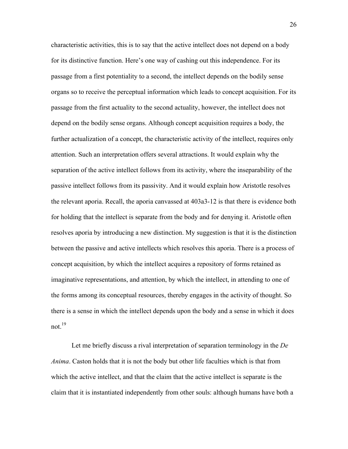characteristic activities, this is to say that the active intellect does not depend on a body for its distinctive function. Here's one way of cashing out this independence. For its passage from a first potentiality to a second, the intellect depends on the bodily sense organs so to receive the perceptual information which leads to concept acquisition. For its passage from the first actuality to the second actuality, however, the intellect does not depend on the bodily sense organs. Although concept acquisition requires a body, the further actualization of a concept, the characteristic activity of the intellect, requires only attention. Such an interpretation offers several attractions. It would explain why the separation of the active intellect follows from its activity, where the inseparability of the passive intellect follows from its passivity. And it would explain how Aristotle resolves the relevant aporia. Recall, the aporia canvassed at 403a3-12 is that there is evidence both for holding that the intellect is separate from the body and for denying it. Aristotle often resolves aporia by introducing a new distinction. My suggestion is that it is the distinction between the passive and active intellects which resolves this aporia. There is a process of concept acquisition, by which the intellect acquires a repository of forms retained as imaginative representations, and attention, by which the intellect, in attending to one of the forms among its conceptual resources, thereby engages in the activity of thought. So there is a sense in which the intellect depends upon the body and a sense in which it does not  $^{19}$ 

Let me briefly discuss a rival interpretation of separation terminology in the *De Anima*. Caston holds that it is not the body but other life faculties which is that from which the active intellect, and that the claim that the active intellect is separate is the claim that it is instantiated independently from other souls: although humans have both a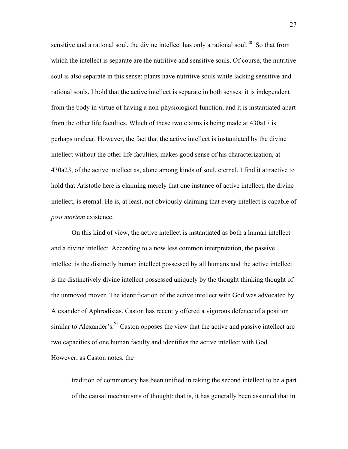sensitive and a rational soul, the divine intellect has only a rational soul.<sup>20</sup> So that from which the intellect is separate are the nutritive and sensitive souls. Of course, the nutritive soul is also separate in this sense: plants have nutritive souls while lacking sensitive and rational souls. I hold that the active intellect is separate in both senses: it is independent from the body in virtue of having a non-physiological function; and it is instantiated apart from the other life faculties. Which of these two claims is being made at 430a17 is perhaps unclear. However, the fact that the active intellect is instantiated by the divine intellect without the other life faculties, makes good sense of his characterization, at 430a23, of the active intellect as, alone among kinds of soul, eternal. I find it attractive to hold that Aristotle here is claiming merely that one instance of active intellect, the divine intellect, is eternal. He is, at least, not obviously claiming that every intellect is capable of *post mortem* existence.

On this kind of view, the active intellect is instantiated as both a human intellect and a divine intellect. According to a now less common interpretation, the passive intellect is the distinctly human intellect possessed by all humans and the active intellect is the distinctively divine intellect possessed uniquely by the thought thinking thought of the unmoved mover. The identification of the active intellect with God was advocated by Alexander of Aphrodisias. Caston has recently offered a vigorous defence of a position similar to Alexander's. $^{21}$  Caston opposes the view that the active and passive intellect are two capacities of one human faculty and identifies the active intellect with God.

However, as Caston notes, the

tradition of commentary has been unified in taking the second intellect to be a part of the causal mechanisms of thought: that is, it has generally been assumed that in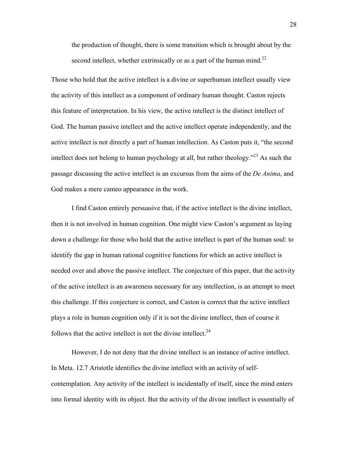the production of thought, there is some transition which is brought about by the second intellect, whether extrinsically or as a part of the human mind.<sup>22</sup>

Those who hold that the active intellect is a divine or superhuman intellect usually view the activity of this intellect as a component of ordinary human thought. Caston rejects this feature of interpretation. In his view, the active intellect is the distinct intellect of God. The human passive intellect and the active intellect operate independently, and the active intellect is not directly a part of human intellection. As Caston puts it, "the second intellect does not belong to human psychology at all, but rather theology.<sup> $23$ </sup> As such the passage discussing the active intellect is an excursus from the aims of the *De Anima*, and God makes a mere cameo appearance in the work.

I find Caston entirely persuasive that, if the active intellect is the divine intellect, then it is not involved in human cognition. One might view Caston's argument as laying down a challenge for those who hold that the active intellect is part of the human soul: to identify the gap in human rational cognitive functions for which an active intellect is needed over and above the passive intellect. The conjecture of this paper, that the activity of the active intellect is an awareness necessary for any intellection, is an attempt to meet this challenge. If this conjecture is correct, and Caston is correct that the active intellect plays a role in human cognition only if it is not the divine intellect, then of course it follows that the active intellect is not the divine intellect.<sup>24</sup>

However, I do not deny that the divine intellect is an instance of active intellect. In Meta. 12.7 Aristotle identifies the divine intellect with an activity of selfcontemplation. Any activity of the intellect is incidentally of itself, since the mind enters into formal identity with its object. But the activity of the divine intellect is essentially of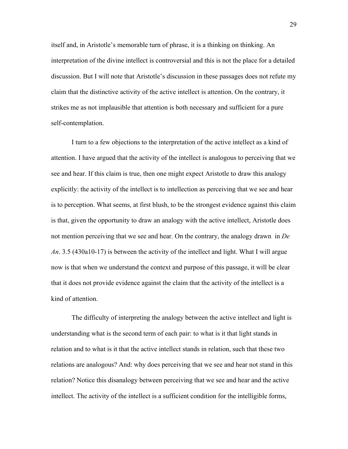itself and, in Aristotle's memorable turn of phrase, it is a thinking on thinking. An interpretation of the divine intellect is controversial and this is not the place for a detailed discussion. But I will note that Aristotle's discussion in these passages does not refute my claim that the distinctive activity of the active intellect is attention. On the contrary, it strikes me as not implausible that attention is both necessary and sufficient for a pure self-contemplation.

I turn to a few objections to the interpretation of the active intellect as a kind of attention. I have argued that the activity of the intellect is analogous to perceiving that we see and hear. If this claim is true, then one might expect Aristotle to draw this analogy explicitly: the activity of the intellect is to intellection as perceiving that we see and hear is to perception. What seems, at first blush, to be the strongest evidence against this claim is that, given the opportunity to draw an analogy with the active intellect, Aristotle does not mention perceiving that we see and hear. On the contrary, the analogy drawn in *De An*. 3.5 (430a10-17) is between the activity of the intellect and light. What I will argue now is that when we understand the context and purpose of this passage, it will be clear that it does not provide evidence against the claim that the activity of the intellect is a kind of attention.

The difficulty of interpreting the analogy between the active intellect and light is understanding what is the second term of each pair: to what is it that light stands in relation and to what is it that the active intellect stands in relation, such that these two relations are analogous? And: why does perceiving that we see and hear not stand in this relation? Notice this disanalogy between perceiving that we see and hear and the active intellect. The activity of the intellect is a sufficient condition for the intelligible forms,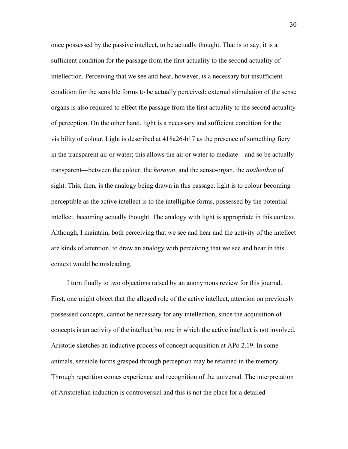once possessed by the passive intellect, to be actually thought. That is to say, it is a sufficient condition for the passage from the first actuality to the second actuality of intellection. Perceiving that we see and hear, however, is a necessary but insufficient condition for the sensible forms to be actually perceived: external stimulation of the sense organs is also required to effect the passage from the first actuality to the second actuality of perception. On the other hand, light is a necessary and sufficient condition for the visibility of colour. Light is described at 418a26-b17 as the presence of something fiery in the transparent air or water; this allows the air or water to mediate—and so be actually transparent—between the colour, the *horaton*, and the sense-organ, the *aisthetikon* of sight. This, then, is the analogy being drawn in this passage: light is to colour becoming perceptible as the active intellect is to the intelligible forms, possessed by the potential intellect, becoming actually thought. The analogy with light is appropriate in this context. Although, I maintain, both perceiving that we see and hear and the activity of the intellect are kinds of attention, to draw an analogy with perceiving that we see and hear in this context would be misleading.

I turn finally to two objections raised by an anonymous review for this journal. First, one might object that the alleged role of the active intellect, attention on previously possessed concepts, cannot be necessary for any intellection, since the acquisition of concepts is an activity of the intellect but one in which the active intellect is not involved. Aristotle sketches an inductive process of concept acquisition at APo 2.19. In some animals, sensible forms grasped through perception may be retained in the memory. Through repetition comes experience and recognition of the universal. The interpretation of Aristotelian induction is controversial and this is not the place for a detailed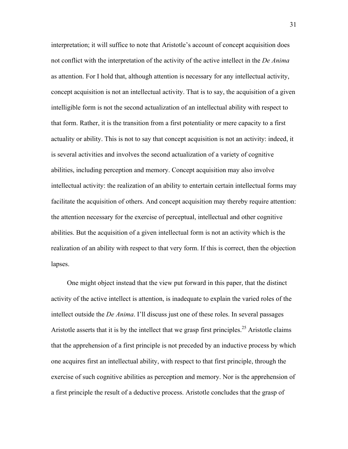interpretation; it will suffice to note that Aristotle's account of concept acquisition does not conflict with the interpretation of the activity of the active intellect in the *De Anima* as attention. For I hold that, although attention is necessary for any intellectual activity, concept acquisition is not an intellectual activity. That is to say, the acquisition of a given intelligible form is not the second actualization of an intellectual ability with respect to that form. Rather, it is the transition from a first potentiality or mere capacity to a first actuality or ability. This is not to say that concept acquisition is not an activity: indeed, it is several activities and involves the second actualization of a variety of cognitive abilities, including perception and memory. Concept acquisition may also involve intellectual activity: the realization of an ability to entertain certain intellectual forms may facilitate the acquisition of others. And concept acquisition may thereby require attention: the attention necessary for the exercise of perceptual, intellectual and other cognitive abilities. But the acquisition of a given intellectual form is not an activity which is the realization of an ability with respect to that very form. If this is correct, then the objection lapses.

One might object instead that the view put forward in this paper, that the distinct activity of the active intellect is attention, is inadequate to explain the varied roles of the intellect outside the *De Anima*. I'll discuss just one of these roles. In several passages Aristotle asserts that it is by the intellect that we grasp first principles.<sup>25</sup> Aristotle claims that the apprehension of a first principle is not preceded by an inductive process by which one acquires first an intellectual ability, with respect to that first principle, through the exercise of such cognitive abilities as perception and memory. Nor is the apprehension of a first principle the result of a deductive process. Aristotle concludes that the grasp of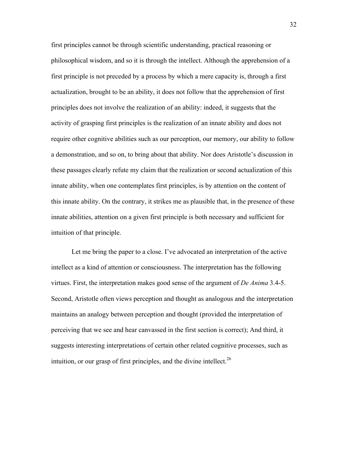first principles cannot be through scientific understanding, practical reasoning or philosophical wisdom, and so it is through the intellect. Although the apprehension of a first principle is not preceded by a process by which a mere capacity is, through a first actualization, brought to be an ability, it does not follow that the apprehension of first principles does not involve the realization of an ability: indeed, it suggests that the activity of grasping first principles is the realization of an innate ability and does not require other cognitive abilities such as our perception, our memory, our ability to follow a demonstration, and so on, to bring about that ability. Nor does Aristotle's discussion in these passages clearly refute my claim that the realization or second actualization of this innate ability, when one contemplates first principles, is by attention on the content of this innate ability. On the contrary, it strikes me as plausible that, in the presence of these innate abilities, attention on a given first principle is both necessary and sufficient for intuition of that principle.

Let me bring the paper to a close. I've advocated an interpretation of the active intellect as a kind of attention or consciousness. The interpretation has the following virtues. First, the interpretation makes good sense of the argument of *De Anima* 3.4-5. Second, Aristotle often views perception and thought as analogous and the interpretation maintains an analogy between perception and thought (provided the interpretation of perceiving that we see and hear canvassed in the first section is correct); And third, it suggests interesting interpretations of certain other related cognitive processes, such as intuition, or our grasp of first principles, and the divine intellect.<sup>26</sup>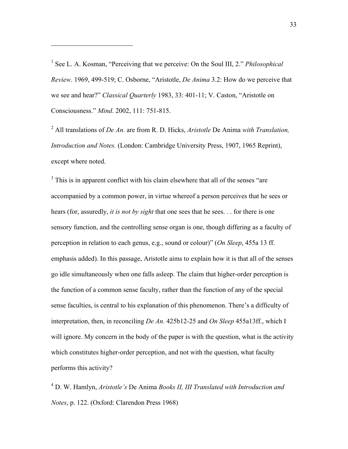<sup>1</sup> See L. A. Kosman, "Perceiving that we perceive: On the Soul III, 2." *Philosophical Review*. 1969, 499-519; C. Osborne, "Aristotle, *De Anima* 3.2: How do we perceive that we see and hear?" *Classical Quarterly* 1983, 33: 401-11; V. Caston, "Aristotle on Consciousness." *Mind*. 2002, 111: 751-815.

 $\overline{a}$ 

2 All translations of *De An*. are from R. D. Hicks, *Aristotle* De Anima *with Translation, Introduction and Notes.* (London: Cambridge University Press, 1907, 1965 Reprint), except where noted.

<sup>3</sup> This is in apparent conflict with his claim elsewhere that all of the senses "are accompanied by a common power, in virtue whereof a person perceives that he sees or hears (for, assuredly, *it is not by sight* that one sees that he sees. . . for there is one sensory function, and the controlling sense organ is one, though differing as a faculty of perception in relation to each genus, e.g., sound or colour)" (*On Sleep*, 455a 13 ff. emphasis added). In this passage, Aristotle aims to explain how it is that all of the senses go idle simultaneously when one falls asleep. The claim that higher-order perception is the function of a common sense faculty, rather than the function of any of the special sense faculties, is central to his explanation of this phenomenon. There's a difficulty of interpretation, then, in reconciling *De An*. 425b12-25 and *On Sleep* 455a13ff., which I will ignore. My concern in the body of the paper is with the question, what is the activity which constitutes higher-order perception, and not with the question, what faculty performs this activity?

4 D. W. Hamlyn, *Aristotle's* De Anima *Books II, III Translated with Introduction and Notes*, p. 122. (Oxford: Clarendon Press 1968)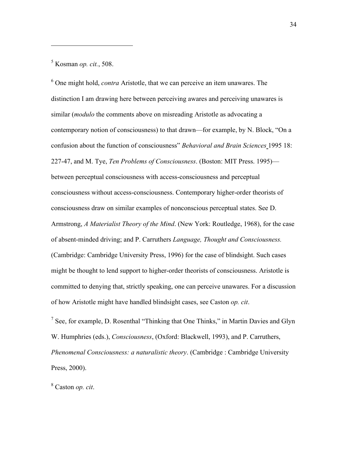5 Kosman *op. cit.*, 508.

 $\overline{a}$ 

6 One might hold, *contra* Aristotle, that we can perceive an item unawares. The distinction I am drawing here between perceiving awares and perceiving unawares is similar (*modulo* the comments above on misreading Aristotle as advocating a contemporary notion of consciousness) to that drawn—for example, by N. Block, "On a confusion about the function of consciousness" *Behavioral and Brain Sciences* 1995 18: 227-47, and M. Tye, *Ten Problems of Consciousness*. (Boston: MIT Press. 1995) between perceptual consciousness with access-consciousness and perceptual consciousness without access-consciousness. Contemporary higher-order theorists of consciousness draw on similar examples of nonconscious perceptual states. See D. Armstrong, *A Materialist Theory of the Mind*. (New York: Routledge, 1968), for the case of absent-minded driving; and P. Carruthers *Language, Thought and Consciousness.* (Cambridge: Cambridge University Press, 1996) for the case of blindsight. Such cases might be thought to lend support to higher-order theorists of consciousness. Aristotle is committed to denying that, strictly speaking, one can perceive unawares. For a discussion of how Aristotle might have handled blindsight cases, see Caston *op. cit*.

<sup>7</sup> See, for example, D. Rosenthal "Thinking that One Thinks," in Martin Davies and Glyn W. Humphries (eds.), *Consciousness*, (Oxford: Blackwell, 1993), and P. Carruthers, *Phenomenal Consciousness: a naturalistic theory*. (Cambridge : Cambridge University Press, 2000).

8 Caston *op. cit*.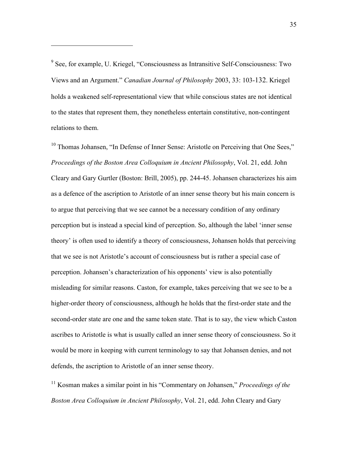<sup>9</sup> See, for example, U. Kriegel, "Consciousness as Intransitive Self-Consciousness: Two Views and an Argument." *Canadian Journal of Philosophy* 2003, 33: 103-132. Kriegel holds a weakened self-representational view that while conscious states are not identical to the states that represent them, they nonetheless entertain constitutive, non-contingent relations to them.

 $\overline{a}$ 

<sup>10</sup> Thomas Johansen, "In Defense of Inner Sense: Aristotle on Perceiving that One Sees," *Proceedings of the Boston Area Colloquium in Ancient Philosophy*, Vol. 21, edd. John Cleary and Gary Gurtler (Boston: Brill, 2005), pp. 244-45. Johansen characterizes his aim as a defence of the ascription to Aristotle of an inner sense theory but his main concern is to argue that perceiving that we see cannot be a necessary condition of any ordinary perception but is instead a special kind of perception. So, although the label 'inner sense theory' is often used to identify a theory of consciousness, Johansen holds that perceiving that we see is not Aristotle's account of consciousness but is rather a special case of perception. Johansen's characterization of his opponents' view is also potentially misleading for similar reasons. Caston, for example, takes perceiving that we see to be a higher-order theory of consciousness, although he holds that the first-order state and the second-order state are one and the same token state. That is to say, the view which Caston ascribes to Aristotle is what is usually called an inner sense theory of consciousness. So it would be more in keeping with current terminology to say that Johansen denies, and not defends, the ascription to Aristotle of an inner sense theory.

<sup>11</sup> Kosman makes a similar point in his "Commentary on Johansen," *Proceedings of the Boston Area Colloquium in Ancient Philosophy*, Vol. 21, edd. John Cleary and Gary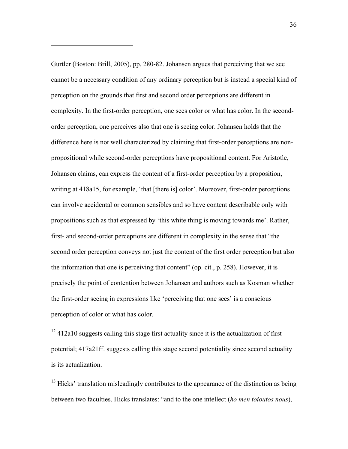Gurtler (Boston: Brill, 2005), pp. 280-82. Johansen argues that perceiving that we see cannot be a necessary condition of any ordinary perception but is instead a special kind of perception on the grounds that first and second order perceptions are different in complexity. In the first-order perception, one sees color or what has color. In the secondorder perception, one perceives also that one is seeing color. Johansen holds that the difference here is not well characterized by claiming that first-order perceptions are nonpropositional while second-order perceptions have propositional content. For Aristotle, Johansen claims, can express the content of a first-order perception by a proposition, writing at 418a15, for example, 'that [there is] color'. Moreover, first-order perceptions can involve accidental or common sensibles and so have content describable only with propositions such as that expressed by 'this white thing is moving towards me'. Rather, first- and second-order perceptions are different in complexity in the sense that "the second order perception conveys not just the content of the first order perception but also the information that one is perceiving that content" (op. cit., p. 258). However, it is precisely the point of contention between Johansen and authors such as Kosman whether the first-order seeing in expressions like 'perceiving that one sees' is a conscious perception of color or what has color.

 $\overline{a}$ 

 $12$  412a10 suggests calling this stage first actuality since it is the actualization of first potential; 417a21ff. suggests calling this stage second potentiality since second actuality is its actualization.

 $13$  Hicks' translation misleadingly contributes to the appearance of the distinction as being between two faculties. Hicks translates: "and to the one intellect (*ho men toioutos nous*),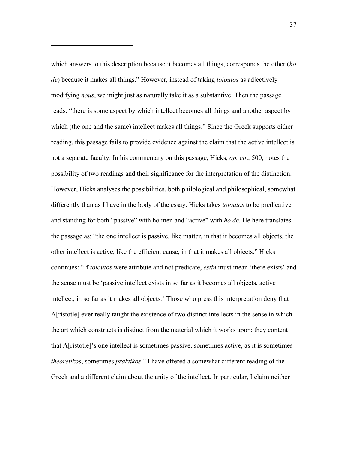which answers to this description because it becomes all things, corresponds the other (*ho de*) because it makes all things." However, instead of taking *toioutos* as adjectively modifying *nous*, we might just as naturally take it as a substantive. Then the passage reads: "there is some aspect by which intellect becomes all things and another aspect by which (the one and the same) intellect makes all things." Since the Greek supports either reading, this passage fails to provide evidence against the claim that the active intellect is not a separate faculty. In his commentary on this passage, Hicks, *op. cit*., 500, notes the possibility of two readings and their significance for the interpretation of the distinction. However, Hicks analyses the possibilities, both philological and philosophical, somewhat differently than as I have in the body of the essay. Hicks takes *toioutos* to be predicative and standing for both "passive" with ho men and "active" with *ho de*. He here translates the passage as: "the one intellect is passive, like matter, in that it becomes all objects, the other intellect is active, like the efficient cause, in that it makes all objects." Hicks continues: "If *toioutos* were attribute and not predicate, *estin* must mean 'there exists' and the sense must be 'passive intellect exists in so far as it becomes all objects, active intellect, in so far as it makes all objects.' Those who press this interpretation deny that A[ristotle] ever really taught the existence of two distinct intellects in the sense in which the art which constructs is distinct from the material which it works upon: they content that A[ristotle]'s one intellect is sometimes passive, sometimes active, as it is sometimes *theoretikos*, sometimes *praktikos*." I have offered a somewhat different reading of the Greek and a different claim about the unity of the intellect. In particular, I claim neither

 $\overline{a}$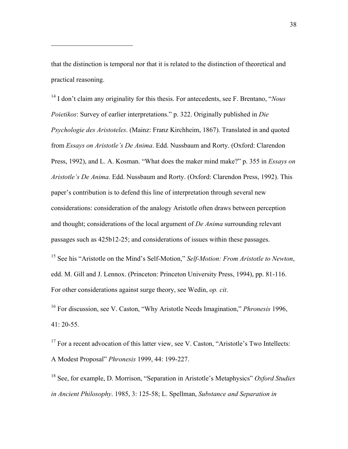that the distinction is temporal nor that it is related to the distinction of theoretical and practical reasoning.

 $\overline{a}$ 

14 I don't claim any originality for this thesis. For antecedents, see F. Brentano, "*Nous Poietikos*: Survey of earlier interpretations." p. 322. Originally published in *Die Psychologie des Aristoteles*. (Mainz: Franz Kirchheim, 1867). Translated in and quoted from *Essays on Aristotle's De Anima*. Edd. Nussbaum and Rorty. (Oxford: Clarendon Press, 1992), and L. A. Kosman. "What does the maker mind make?" p. 355 in *Essays on Aristotle's De Anima*. Edd. Nussbaum and Rorty. (Oxford: Clarendon Press, 1992). This paper's contribution is to defend this line of interpretation through several new considerations: consideration of the analogy Aristotle often draws between perception and thought; considerations of the local argument of *De Anima* surrounding relevant passages such as 425b12-25; and considerations of issues within these passages.

15 See his "Aristotle on the Mind's Self-Motion," *Self-Motion: From Aristotle to Newton*, edd. M. Gill and J. Lennox. (Princeton: Princeton University Press, 1994), pp. 81-116. For other considerations against surge theory, see Wedin, *op. cit*.

<sup>16</sup> For discussion, see V. Caston, "Why Aristotle Needs Imagination," *Phronesis* 1996, 41: 20-55.

<sup>17</sup> For a recent advocation of this latter view, see V. Caston, "Aristotle's Two Intellects: A Modest Proposal" *Phronesis* 1999, 44: 199-227.

18 See, for example, D. Morrison, "Separation in Aristotle's Metaphysics" *Oxford Studies in Ancient Philosophy*. 1985, 3: 125-58; L. Spellman, *Substance and Separation in*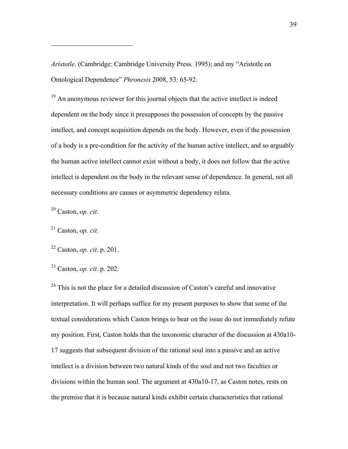*Aristotle*. (Cambridge: Cambridge University Press. 1995); and my "Aristotle on Ontological Dependence" *Phronesis* 2008, 53: 65-92.

<sup>19</sup> An anonymous reviewer for this journal objects that the active intellect is indeed dependent on the body since it presupposes the possession of concepts by the passive intellect, and concept acquisition depends on the body. However, even if the possession of a body is a pre-condition for the activity of the human active intellect, and so arguably the human active intellect cannot exist without a body, it does not follow that the active intellect is dependent on the body in the relevant sense of dependence. In general, not all necessary conditions are causes or asymmetric dependency relata.

<sup>20</sup> Caston, *op. cit*.

 $\overline{a}$ 

<sup>21</sup> Caston, *op. cit*.

22 Caston, *op. cit*. p. 201.

23 Caston, *op. cit*. p. 202.

 $24$  This is not the place for a detailed discussion of Caston's careful and innovative interpretation. It will perhaps suffice for my present purposes to show that some of the textual considerations which Caston brings to bear on the issue do not immediately refute my position. First, Caston holds that the taxonomic character of the discussion at 430a10- 17 suggests that subsequent division of the rational soul into a passive and an active intellect is a division between two natural kinds of the soul and not two faculties or divisions within the human soul. The argument at 430a10-17, as Caston notes, rests on the premise that it is because natural kinds exhibit certain characteristics that rational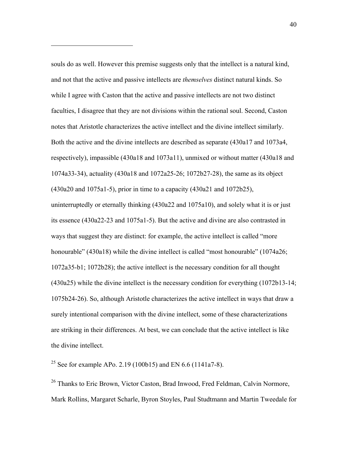souls do as well. However this premise suggests only that the intellect is a natural kind, and not that the active and passive intellects are *themselves* distinct natural kinds. So while I agree with Caston that the active and passive intellects are not two distinct faculties, I disagree that they are not divisions within the rational soul. Second, Caston notes that Aristotle characterizes the active intellect and the divine intellect similarly. Both the active and the divine intellects are described as separate (430a17 and 1073a4, respectively), impassible (430a18 and 1073a11), unmixed or without matter (430a18 and 1074a33-34), actuality (430a18 and 1072a25-26; 1072b27-28), the same as its object (430a20 and 1075a1-5), prior in time to a capacity (430a21 and 1072b25), uninterruptedly or eternally thinking (430a22 and 1075a10), and solely what it is or just its essence (430a22-23 and 1075a1-5). But the active and divine are also contrasted in ways that suggest they are distinct: for example, the active intellect is called "more honourable" (430a18) while the divine intellect is called "most honourable" (1074a26; 1072a35-b1; 1072b28); the active intellect is the necessary condition for all thought (430a25) while the divine intellect is the necessary condition for everything (1072b13-14; 1075b24-26). So, although Aristotle characterizes the active intellect in ways that draw a surely intentional comparison with the divine intellect, some of these characterizations are striking in their differences. At best, we can conclude that the active intellect is like the divine intellect.

<sup>25</sup> See for example APo. 2.19 (100b15) and EN 6.6 (1141a7-8).

 $\overline{a}$ 

<sup>26</sup> Thanks to Eric Brown, Victor Caston, Brad Inwood, Fred Feldman, Calvin Normore, Mark Rollins, Margaret Scharle, Byron Stoyles, Paul Studtmann and Martin Tweedale for